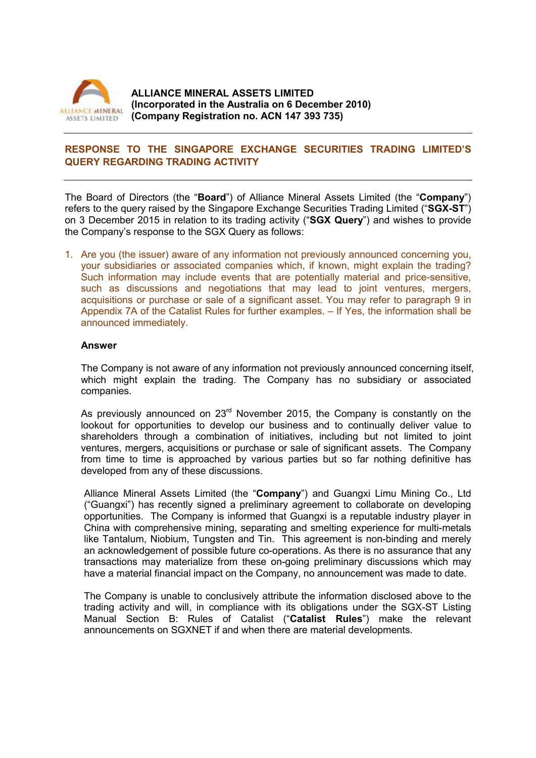

## **RESPONSE TO THE SINGAPORE EXCHANGE SECURITIES TRADING LIMITED'S QUERY REGARDING TRADING ACTIVITY**

The Board of Directors (the "**Board**") of Alliance Mineral Assets Limited (the "**Company**") refers to the query raised by the Singapore Exchange Securities Trading Limited ("**SGX-ST**") on 3 December 2015 in relation to its trading activity ("**SGX Query**") and wishes to provide the Company's response to the SGX Query as follows:

1. Are you (the issuer) aware of any information not previously announced concerning you, your subsidiaries or associated companies which, if known, might explain the trading? Such information may include events that are potentially material and price-sensitive, such as discussions and negotiations that may lead to joint ventures, mergers, acquisitions or purchase or sale of a significant asset. You may refer to paragraph 9 in Appendix 7A of the Catalist Rules for further examples. – If Yes, the information shall be announced immediately.

### **Answer**

The Company is not aware of any information not previously announced concerning itself, which might explain the trading. The Company has no subsidiary or associated companies.

As previously announced on  $23<sup>rd</sup>$  November 2015, the Company is constantly on the lookout for opportunities to develop our business and to continually deliver value to shareholders through a combination of initiatives, including but not limited to joint ventures, mergers, acquisitions or purchase or sale of significant assets. The Company from time to time is approached by various parties but so far nothing definitive has developed from any of these discussions.

Alliance Mineral Assets Limited (the "**Company**") and Guangxi Limu Mining Co., Ltd ("Guangxi") has recently signed a preliminary agreement to collaborate on developing opportunities. The Company is informed that Guangxi is a reputable industry player in China with comprehensive mining, separating and smelting experience for multi-metals like Tantalum, Niobium, Tungsten and Tin. This agreement is non-binding and merely an acknowledgement of possible future co-operations. As there is no assurance that any transactions may materialize from these on-going preliminary discussions which may have a material financial impact on the Company, no announcement was made to date.

The Company is unable to conclusively attribute the information disclosed above to the trading activity and will, in compliance with its obligations under the SGX-ST Listing Manual Section B: Rules of Catalist ("**Catalist Rules**") make the relevant announcements on SGXNET if and when there are material developments.